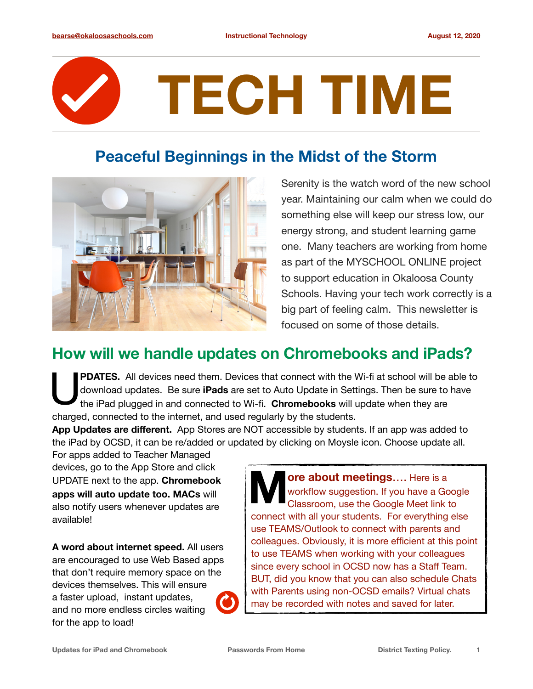## **TECH TIME**

## **Peaceful Beginnings in the Midst of the Storm**



Serenity is the watch word of the new school year. Maintaining our calm when we could do something else will keep our stress low, our energy strong, and student learning game one. Many teachers are working from home as part of the MYSCHOOL ONLINE project to support education in Okaloosa County Schools. Having your tech work correctly is a big part of feeling calm. This newsletter is focused on some of those details.

## **How will we handle updates on Chromebooks and iPads?**

PDATES. All devices need them. Devices that connect with the Wi-fi at school will be able to download updates. Be sure **iPads** are set to Auto Update in Settings. Then be sure to have the iPad plugged in and connected to Wi-fi. **Chromebooks** will update when they are charged, connected to the internet, and used regularly by the students.

**App Updates are different.** App Stores are NOT accessible by students. If an app was added to the iPad by OCSD, it can be re/added or updated by clicking on Moysle icon. Choose update all.

For apps added to Teacher Managed devices, go to the App Store and click UPDATE next to the app. **Chromebook apps will auto update too. MACs** will also notify users whenever updates are available!

**A word about internet speed.** All users are encouraged to use Web Based apps that don't require memory space on the devices themselves. This will ensure a faster upload, instant updates, and no more endless circles waiting for the app to load!

**ore about meetings....** Here is a workflow suggestion. If you have a Google Classroom, use the Google Meet link to connect with all your students. For everything else use TEAMS/Outlook to connect with parents and colleagues. Obviously, it is more efficient at this point to use TEAMS when working with your colleagues since every school in OCSD now has a Staff Team. BUT, did you know that you can also schedule Chats with Parents using non-OCSD emails? Virtual chats may be recorded with notes and saved for later.